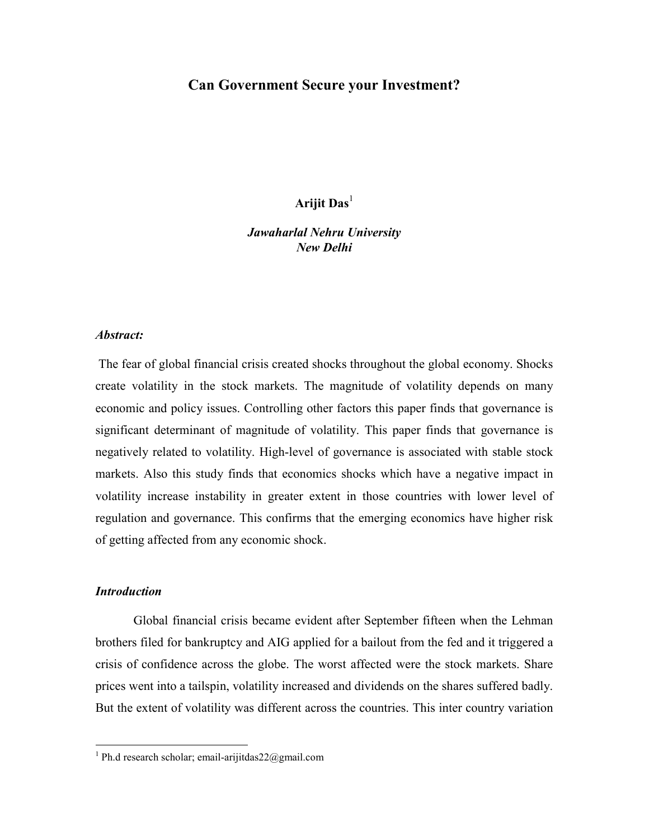# Can Government Secure your Investment?

Arijit Das<sup>1</sup>

Jawaharlal Nehru University New Delhi

#### Abstract:

 The fear of global financial crisis created shocks throughout the global economy. Shocks create volatility in the stock markets. The magnitude of volatility depends on many economic and policy issues. Controlling other factors this paper finds that governance is significant determinant of magnitude of volatility. This paper finds that governance is negatively related to volatility. High-level of governance is associated with stable stock markets. Also this study finds that economics shocks which have a negative impact in volatility increase instability in greater extent in those countries with lower level of regulation and governance. This confirms that the emerging economics have higher risk of getting affected from any economic shock.

#### **Introduction**

 $\overline{a}$ 

 Global financial crisis became evident after September fifteen when the Lehman brothers filed for bankruptcy and AIG applied for a bailout from the fed and it triggered a crisis of confidence across the globe. The worst affected were the stock markets. Share prices went into a tailspin, volatility increased and dividends on the shares suffered badly. But the extent of volatility was different across the countries. This inter country variation

<sup>&</sup>lt;sup>1</sup> Ph.d research scholar; email-arijitdas22@gmail.com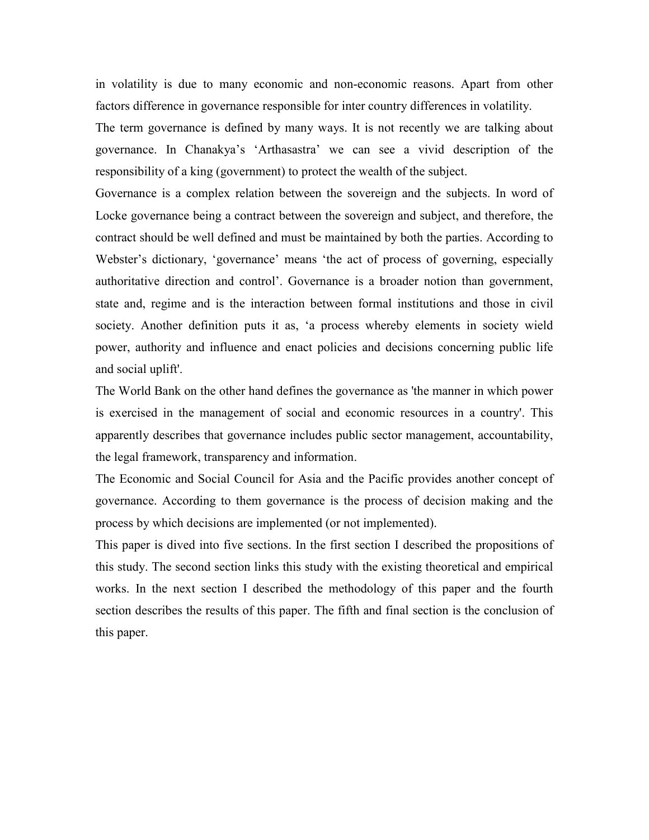in volatility is due to many economic and non-economic reasons. Apart from other factors difference in governance responsible for inter country differences in volatility.

The term governance is defined by many ways. It is not recently we are talking about governance. In Chanakya's 'Arthasastra' we can see a vivid description of the responsibility of a king (government) to protect the wealth of the subject.

Governance is a complex relation between the sovereign and the subjects. In word of Locke governance being a contract between the sovereign and subject, and therefore, the contract should be well defined and must be maintained by both the parties. According to Webster's dictionary, 'governance' means 'the act of process of governing, especially authoritative direction and control'. Governance is a broader notion than government, state and, regime and is the interaction between formal institutions and those in civil society. Another definition puts it as, 'a process whereby elements in society wield power, authority and influence and enact policies and decisions concerning public life and social uplift'.

The World Bank on the other hand defines the governance as 'the manner in which power is exercised in the management of social and economic resources in a country'. This apparently describes that governance includes public sector management, accountability, the legal framework, transparency and information.

The Economic and Social Council for Asia and the Pacific provides another concept of governance. According to them governance is the process of decision making and the process by which decisions are implemented (or not implemented).

This paper is dived into five sections. In the first section I described the propositions of this study. The second section links this study with the existing theoretical and empirical works. In the next section I described the methodology of this paper and the fourth section describes the results of this paper. The fifth and final section is the conclusion of this paper.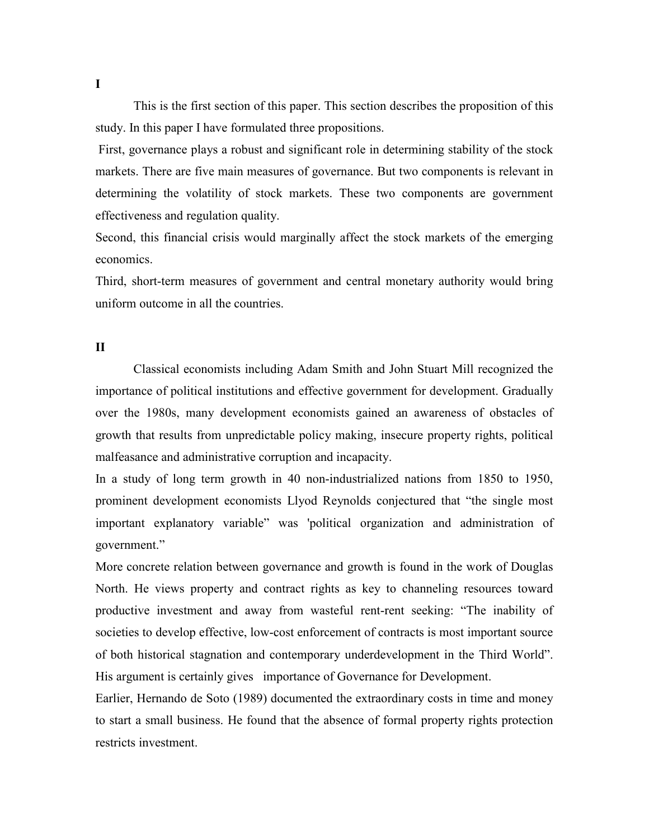This is the first section of this paper. This section describes the proposition of this study. In this paper I have formulated three propositions.

 First, governance plays a robust and significant role in determining stability of the stock markets. There are five main measures of governance. But two components is relevant in determining the volatility of stock markets. These two components are government effectiveness and regulation quality.

Second, this financial crisis would marginally affect the stock markets of the emerging economics.

Third, short-term measures of government and central monetary authority would bring uniform outcome in all the countries.

# II

 Classical economists including Adam Smith and John Stuart Mill recognized the importance of political institutions and effective government for development. Gradually over the 1980s, many development economists gained an awareness of obstacles of growth that results from unpredictable policy making, insecure property rights, political malfeasance and administrative corruption and incapacity.

In a study of long term growth in 40 non-industrialized nations from 1850 to 1950, prominent development economists Llyod Reynolds conjectured that "the single most important explanatory variable" was 'political organization and administration of government."

More concrete relation between governance and growth is found in the work of Douglas North. He views property and contract rights as key to channeling resources toward productive investment and away from wasteful rent-rent seeking: "The inability of societies to develop effective, low-cost enforcement of contracts is most important source of both historical stagnation and contemporary underdevelopment in the Third World". His argument is certainly gives importance of Governance for Development.

Earlier, Hernando de Soto (1989) documented the extraordinary costs in time and money to start a small business. He found that the absence of formal property rights protection restricts investment.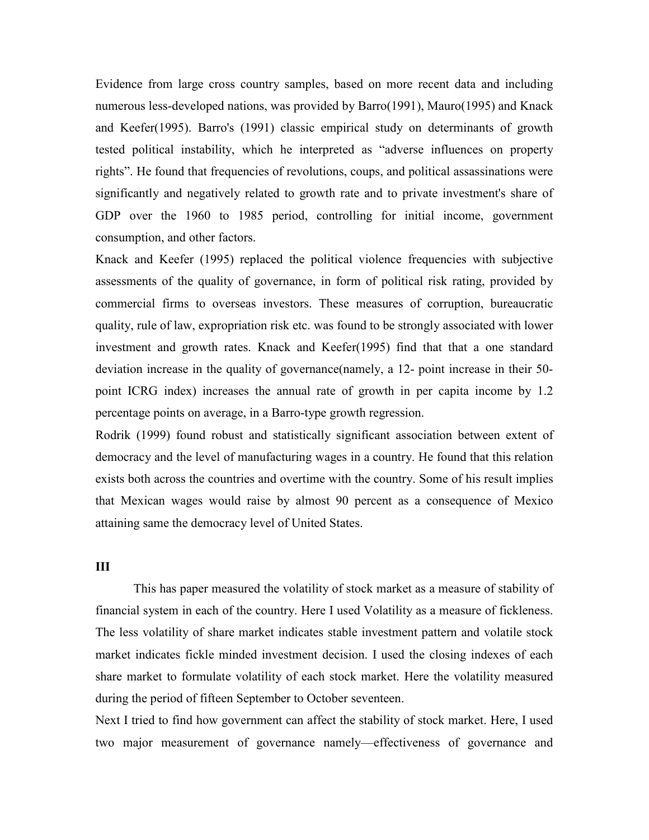Evidence from large cross country samples, based on more recent data and including numerous less-developed nations, was provided by Barro(1991), Mauro(1995) and Knack and Keefer(1995). Barro's (1991) classic empirical study on determinants of growth tested political instability, which he interpreted as "adverse influences on property rights". He found that frequencies of revolutions, coups, and political assassinations were significantly and negatively related to growth rate and to private investment's share of GDP over the 1960 to 1985 period, controlling for initial income, government consumption, and other factors.

Knack and Keefer (1995) replaced the political violence frequencies with subjective assessments of the quality of governance, in form of political risk rating, provided by commercial firms to overseas investors. These measures of corruption, bureaucratic quality, rule of law, expropriation risk etc. was found to be strongly associated with lower investment and growth rates. Knack and Keefer(1995) find that that a one standard deviation increase in the quality of governance(namely, a 12- point increase in their 50 point ICRG index) increases the annual rate of growth in per capita income by 1.2 percentage points on average, in a Barro-type growth regression.

Rodrik (1999) found robust and statistically significant association between extent of democracy and the level of manufacturing wages in a country. He found that this relation exists both across the countries and overtime with the country. Some of his result implies that Mexican wages would raise by almost 90 percent as a consequence of Mexico attaining same the democracy level of United States.

#### III

 This has paper measured the volatility of stock market as a measure of stability of financial system in each of the country. Here I used Volatility as a measure of fickleness. The less volatility of share market indicates stable investment pattern and volatile stock market indicates fickle minded investment decision. I used the closing indexes of each share market to formulate volatility of each stock market. Here the volatility measured during the period of fifteen September to October seventeen.

Next I tried to find how government can affect the stability of stock market. Here, I used two major measurement of governance namely—effectiveness of governance and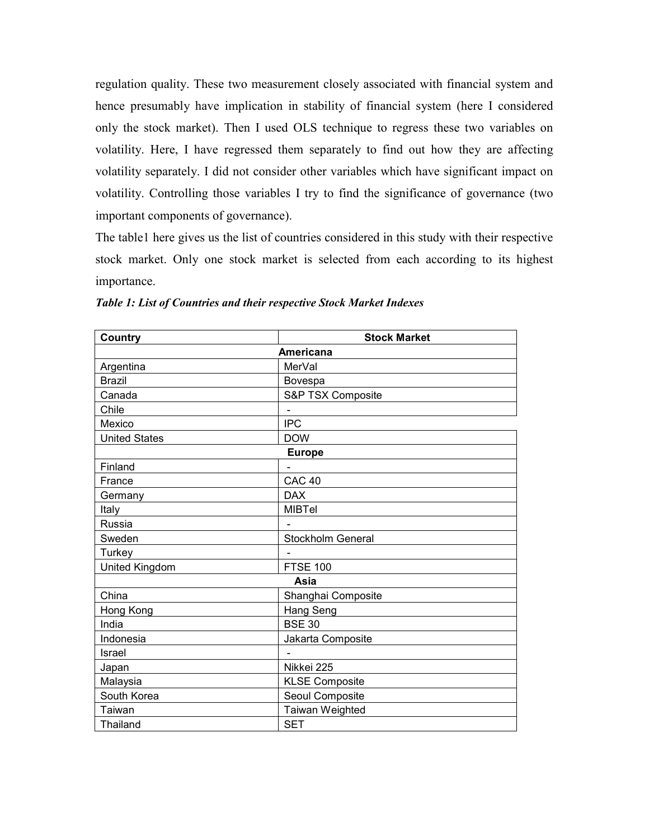regulation quality. These two measurement closely associated with financial system and hence presumably have implication in stability of financial system (here I considered only the stock market). Then I used OLS technique to regress these two variables on volatility. Here, I have regressed them separately to find out how they are affecting volatility separately. I did not consider other variables which have significant impact on volatility. Controlling those variables I try to find the significance of governance (two important components of governance).

The table1 here gives us the list of countries considered in this study with their respective stock market. Only one stock market is selected from each according to its highest importance.

| <b>Stock Market</b><br>Country |                       |  |
|--------------------------------|-----------------------|--|
|                                | Americana             |  |
| Argentina                      | MerVal                |  |
| <b>Brazil</b>                  | Bovespa               |  |
| Canada                         | S&P TSX Composite     |  |
| Chile                          |                       |  |
| Mexico                         | <b>IPC</b>            |  |
| <b>United States</b>           | <b>DOW</b>            |  |
|                                | <b>Europe</b>         |  |
| Finland                        |                       |  |
| France                         | <b>CAC 40</b>         |  |
| Germany                        | <b>DAX</b>            |  |
| Italy                          | <b>MIBTel</b>         |  |
| Russia                         |                       |  |
| Sweden                         | Stockholm General     |  |
| Turkey                         |                       |  |
| United Kingdom                 | <b>FTSE 100</b>       |  |
|                                | Asia                  |  |
| China                          | Shanghai Composite    |  |
| Hong Kong                      | Hang Seng             |  |
| India                          | <b>BSE 30</b>         |  |
| Indonesia                      | Jakarta Composite     |  |
| Israel                         |                       |  |
| Japan                          | Nikkei 225            |  |
| Malaysia                       | <b>KLSE Composite</b> |  |
| South Korea                    | Seoul Composite       |  |
| Taiwan                         | Taiwan Weighted       |  |
| Thailand                       | <b>SET</b>            |  |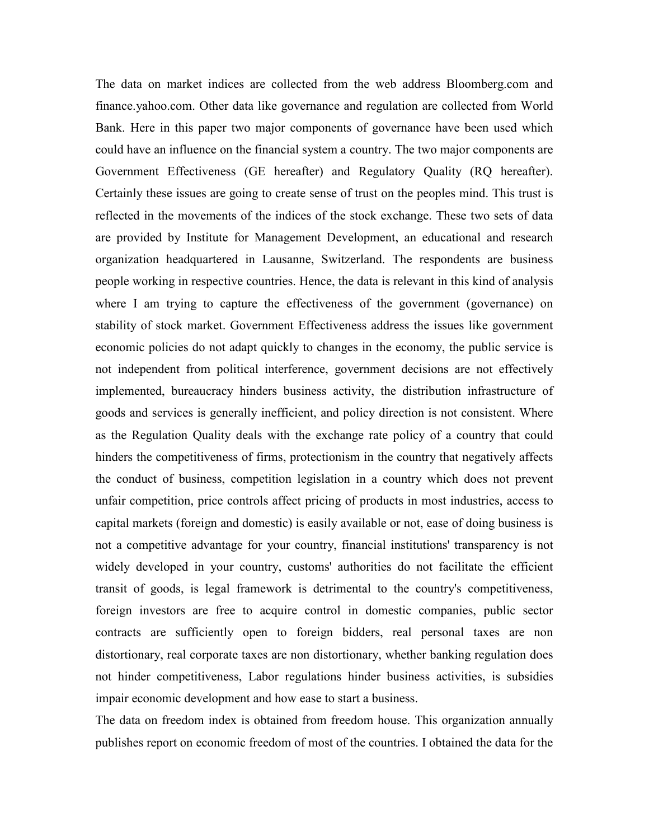The data on market indices are collected from the web address Bloomberg.com and finance.yahoo.com. Other data like governance and regulation are collected from World Bank. Here in this paper two major components of governance have been used which could have an influence on the financial system a country. The two major components are Government Effectiveness (GE hereafter) and Regulatory Quality (RQ hereafter). Certainly these issues are going to create sense of trust on the peoples mind. This trust is reflected in the movements of the indices of the stock exchange. These two sets of data are provided by Institute for Management Development, an educational and research organization headquartered in Lausanne, Switzerland. The respondents are business people working in respective countries. Hence, the data is relevant in this kind of analysis where I am trying to capture the effectiveness of the government (governance) on stability of stock market. Government Effectiveness address the issues like government economic policies do not adapt quickly to changes in the economy, the public service is not independent from political interference, government decisions are not effectively implemented, bureaucracy hinders business activity, the distribution infrastructure of goods and services is generally inefficient, and policy direction is not consistent. Where as the Regulation Quality deals with the exchange rate policy of a country that could hinders the competitiveness of firms, protectionism in the country that negatively affects the conduct of business, competition legislation in a country which does not prevent unfair competition, price controls affect pricing of products in most industries, access to capital markets (foreign and domestic) is easily available or not, ease of doing business is not a competitive advantage for your country, financial institutions' transparency is not widely developed in your country, customs' authorities do not facilitate the efficient transit of goods, is legal framework is detrimental to the country's competitiveness, foreign investors are free to acquire control in domestic companies, public sector contracts are sufficiently open to foreign bidders, real personal taxes are non distortionary, real corporate taxes are non distortionary, whether banking regulation does not hinder competitiveness, Labor regulations hinder business activities, is subsidies impair economic development and how ease to start a business.

The data on freedom index is obtained from freedom house. This organization annually publishes report on economic freedom of most of the countries. I obtained the data for the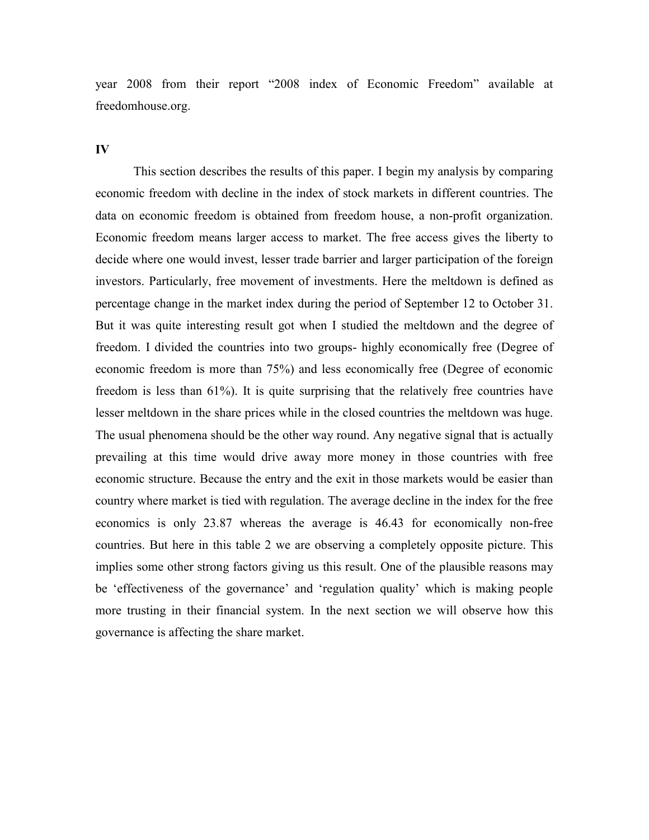year 2008 from their report "2008 index of Economic Freedom" available at freedomhouse.org.

#### IV

 This section describes the results of this paper. I begin my analysis by comparing economic freedom with decline in the index of stock markets in different countries. The data on economic freedom is obtained from freedom house, a non-profit organization. Economic freedom means larger access to market. The free access gives the liberty to decide where one would invest, lesser trade barrier and larger participation of the foreign investors. Particularly, free movement of investments. Here the meltdown is defined as percentage change in the market index during the period of September 12 to October 31. But it was quite interesting result got when I studied the meltdown and the degree of freedom. I divided the countries into two groups- highly economically free (Degree of economic freedom is more than 75%) and less economically free (Degree of economic freedom is less than 61%). It is quite surprising that the relatively free countries have lesser meltdown in the share prices while in the closed countries the meltdown was huge. The usual phenomena should be the other way round. Any negative signal that is actually prevailing at this time would drive away more money in those countries with free economic structure. Because the entry and the exit in those markets would be easier than country where market is tied with regulation. The average decline in the index for the free economics is only 23.87 whereas the average is 46.43 for economically non-free countries. But here in this table 2 we are observing a completely opposite picture. This implies some other strong factors giving us this result. One of the plausible reasons may be 'effectiveness of the governance' and 'regulation quality' which is making people more trusting in their financial system. In the next section we will observe how this governance is affecting the share market.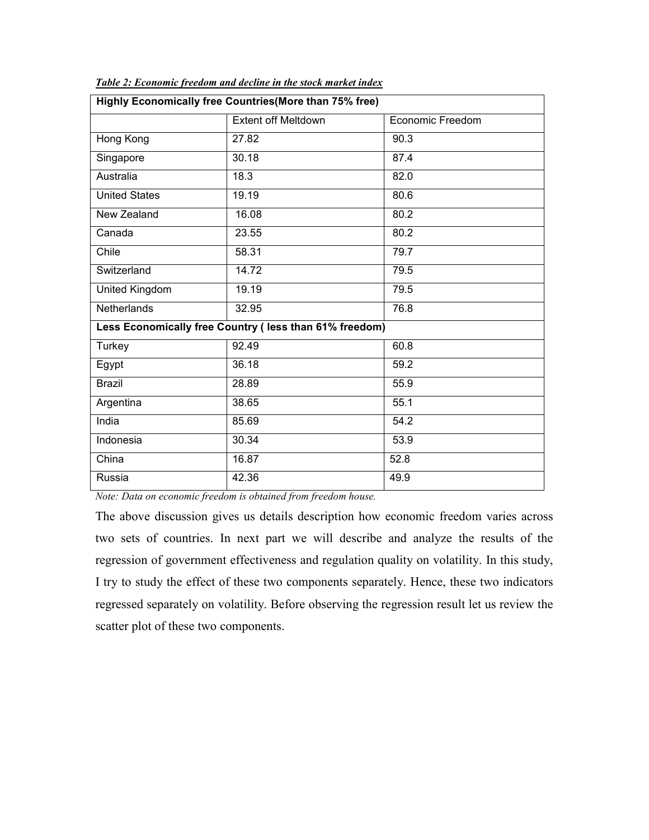| Highly Economically free Countries(More than 75% free) |                                                        |                         |  |  |  |  |  |  |
|--------------------------------------------------------|--------------------------------------------------------|-------------------------|--|--|--|--|--|--|
|                                                        | <b>Extent off Meltdown</b>                             | <b>Economic Freedom</b> |  |  |  |  |  |  |
| Hong Kong                                              | 27.82                                                  | 90.3                    |  |  |  |  |  |  |
| Singapore                                              | 30.18                                                  | 87.4                    |  |  |  |  |  |  |
| Australia                                              | 18.3                                                   | 82.0                    |  |  |  |  |  |  |
| <b>United States</b>                                   | 19.19                                                  | 80.6                    |  |  |  |  |  |  |
| New Zealand                                            | 16.08                                                  | 80.2                    |  |  |  |  |  |  |
| Canada                                                 | 23.55                                                  | 80.2                    |  |  |  |  |  |  |
| Chile                                                  | 58.31                                                  | 79.7                    |  |  |  |  |  |  |
| Switzerland                                            | 14.72                                                  | 79.5                    |  |  |  |  |  |  |
| United Kingdom                                         | 19.19                                                  | 79.5                    |  |  |  |  |  |  |
| <b>Netherlands</b>                                     | 32.95                                                  | 76.8                    |  |  |  |  |  |  |
|                                                        | Less Economically free Country (less than 61% freedom) |                         |  |  |  |  |  |  |
| Turkey                                                 | 92.49                                                  | 60.8                    |  |  |  |  |  |  |
| Egypt                                                  | 36.18                                                  | 59.2                    |  |  |  |  |  |  |
| <b>Brazil</b>                                          | 28.89                                                  | 55.9                    |  |  |  |  |  |  |
| Argentina                                              | 38.65                                                  | 55.1                    |  |  |  |  |  |  |
| India                                                  | 85.69                                                  | $\overline{54.2}$       |  |  |  |  |  |  |
| Indonesia                                              | 30.34                                                  | 53.9                    |  |  |  |  |  |  |
| China                                                  | 16.87                                                  | 52.8                    |  |  |  |  |  |  |
| Russia                                                 | 42.36                                                  | 49.9                    |  |  |  |  |  |  |

Table 2: Economic freedom and decline in the stock market index

Note: Data on economic freedom is obtained from freedom house.

The above discussion gives us details description how economic freedom varies across two sets of countries. In next part we will describe and analyze the results of the regression of government effectiveness and regulation quality on volatility. In this study, I try to study the effect of these two components separately. Hence, these two indicators regressed separately on volatility. Before observing the regression result let us review the scatter plot of these two components.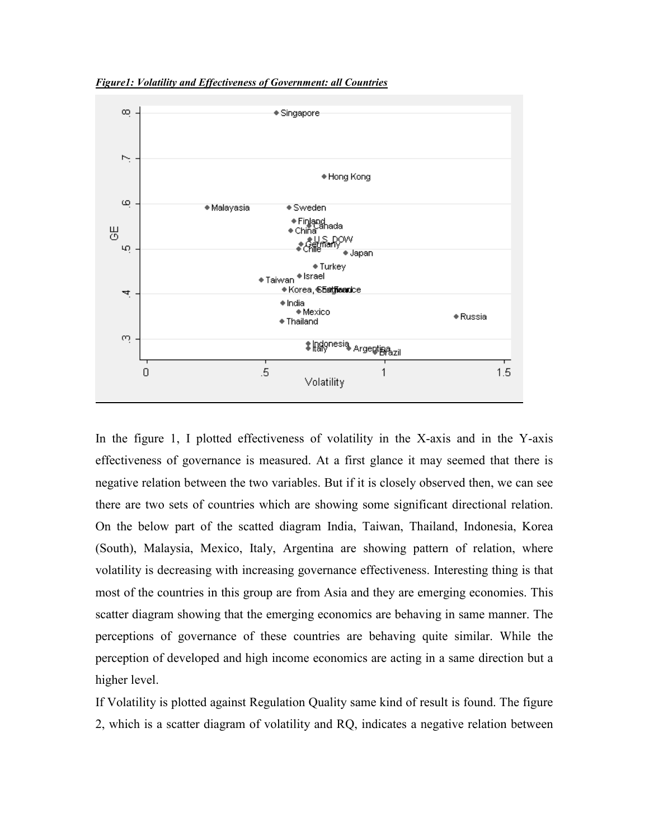Figure1: Volatility and Effectiveness of Government: all Countries



In the figure 1, I plotted effectiveness of volatility in the X-axis and in the Y-axis effectiveness of governance is measured. At a first glance it may seemed that there is negative relation between the two variables. But if it is closely observed then, we can see there are two sets of countries which are showing some significant directional relation. On the below part of the scatted diagram India, Taiwan, Thailand, Indonesia, Korea (South), Malaysia, Mexico, Italy, Argentina are showing pattern of relation, where volatility is decreasing with increasing governance effectiveness. Interesting thing is that most of the countries in this group are from Asia and they are emerging economies. This scatter diagram showing that the emerging economics are behaving in same manner. The perceptions of governance of these countries are behaving quite similar. While the perception of developed and high income economics are acting in a same direction but a higher level.

If Volatility is plotted against Regulation Quality same kind of result is found. The figure 2, which is a scatter diagram of volatility and RQ, indicates a negative relation between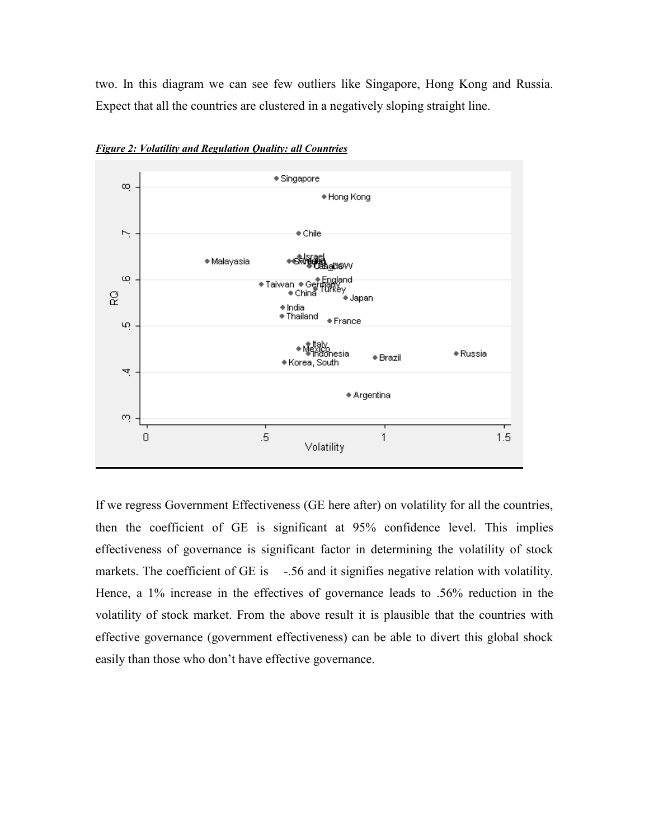two. In this diagram we can see few outliers like Singapore, Hong Kong and Russia. Expect that all the countries are clustered in a negatively sloping straight line.



Figure 2: Volatility and Regulation Quality: all Countries

If we regress Government Effectiveness (GE here after) on volatility for all the countries, then the coefficient of GE is significant at 95% confidence level. This implies effectiveness of governance is significant factor in determining the volatility of stock markets. The coefficient of GE is -.56 and it signifies negative relation with volatility. Hence, a 1% increase in the effectives of governance leads to .56% reduction in the volatility of stock market. From the above result it is plausible that the countries with effective governance (government effectiveness) can be able to divert this global shock easily than those who don't have effective governance.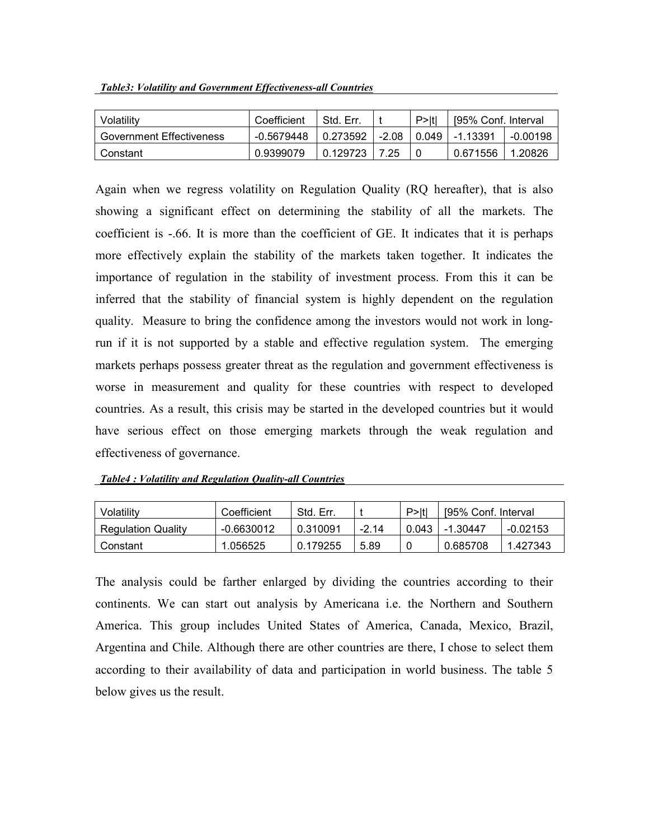|  | <b>Table3: Volatility and Government Effectiveness-all Countries</b> |
|--|----------------------------------------------------------------------|
|  |                                                                      |

| Volatilitv                      | Coefficient | Std. Err |         | P>Itl | [95% Conf. Interval] |          |
|---------------------------------|-------------|----------|---------|-------|----------------------|----------|
| <b>Government Effectiveness</b> | -0.5679448  | 0.273592 | $-2.08$ | 0.049 | Ⅰ-1.13391            | -0.00198 |
| Constant                        | 0.9399079   | 0.129723 | 7.25    | 0     | 0.671556             | 1.20826  |

Again when we regress volatility on Regulation Quality (RQ hereafter), that is also showing a significant effect on determining the stability of all the markets. The coefficient is -.66. It is more than the coefficient of GE. It indicates that it is perhaps more effectively explain the stability of the markets taken together. It indicates the importance of regulation in the stability of investment process. From this it can be inferred that the stability of financial system is highly dependent on the regulation quality. Measure to bring the confidence among the investors would not work in longrun if it is not supported by a stable and effective regulation system. The emerging markets perhaps possess greater threat as the regulation and government effectiveness is worse in measurement and quality for these countries with respect to developed countries. As a result, this crisis may be started in the developed countries but it would have serious effect on those emerging markets through the weak regulation and effectiveness of governance.

| Volatilitv                | Coefficient  | Std. Err |       | P >  t | [95% Conf. Interval] |            |
|---------------------------|--------------|----------|-------|--------|----------------------|------------|
| <b>Regulation Quality</b> | $-0.6630012$ | 0.310091 | -2 14 | 0.043  | -1.30447             | $-0.02153$ |
| Constant                  | 1.056525     | 0.179255 | 5.89  | 0      | 0.685708             | 1.427343   |

The analysis could be farther enlarged by dividing the countries according to their continents. We can start out analysis by Americana i.e. the Northern and Southern America. This group includes United States of America, Canada, Mexico, Brazil, Argentina and Chile. Although there are other countries are there, I chose to select them according to their availability of data and participation in world business. The table 5 below gives us the result.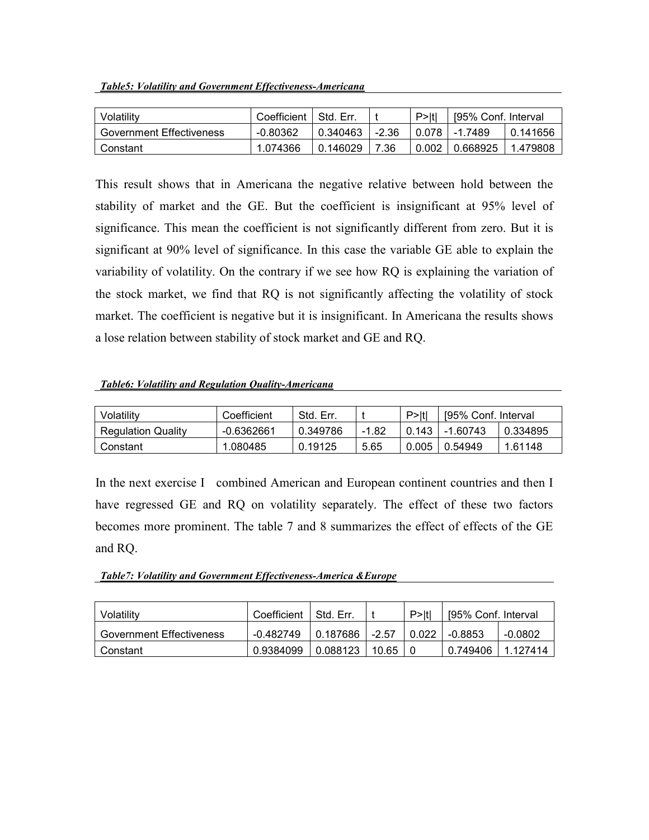| Table5: Volatility and Government Effectiveness-Americana |
|-----------------------------------------------------------|
|-----------------------------------------------------------|

| Volatility               | Coefficient | I Std. Err. |         | P >  t | 195% Conf. Interval |          |
|--------------------------|-------------|-------------|---------|--------|---------------------|----------|
| Government Effectiveness | -0.80362    | 0.340463    | $-2.36$ | 0.078  | -1.7489             | 0.141656 |
| Constant                 | 1.074366    | 0.146029    | 7.36    | 0.002  | 0.668925            | 1.479808 |

This result shows that in Americana the negative relative between hold between the stability of market and the GE. But the coefficient is insignificant at 95% level of significance. This mean the coefficient is not significantly different from zero. But it is significant at 90% level of significance. In this case the variable GE able to explain the variability of volatility. On the contrary if we see how RQ is explaining the variation of the stock market, we find that RQ is not significantly affecting the volatility of stock market. The coefficient is negative but it is insignificant. In Americana the results shows a lose relation between stability of stock market and GE and RQ.

#### Table6: Volatility and Regulation Quality-Americana

| Volatilitv                | Coefficient | Std. Err. |       | $P>$ Itl | 195% Conf. Interval |          |
|---------------------------|-------------|-----------|-------|----------|---------------------|----------|
| <b>Regulation Quality</b> | -0.6362661  | 0.349786  | -1.82 | 0.143    | -1.60743            | 0.334895 |
| Constant                  | 1.080485    | 0.19125   | 5.65  | 0.005    | 0.54949             | 1.61148  |

In the next exercise I combined American and European continent countries and then I have regressed GE and RQ on volatility separately. The effect of these two factors becomes more prominent. The table 7 and 8 summarizes the effect of effects of the GE and RQ.

Table7: Volatility and Government Effectiveness-America &Europe

| Volatility               | Coefficient | I Std. Err. |         | P>Itl | [95% Conf. Interval |          |
|--------------------------|-------------|-------------|---------|-------|---------------------|----------|
| Government Effectiveness | -0.482749   | 0.187686    | $-2.57$ | 0.022 | -0.8853             | -0.0802  |
| Constant                 | 0.9384099   | 0.088123    | 10.65   |       | 0.749406            | 1.127414 |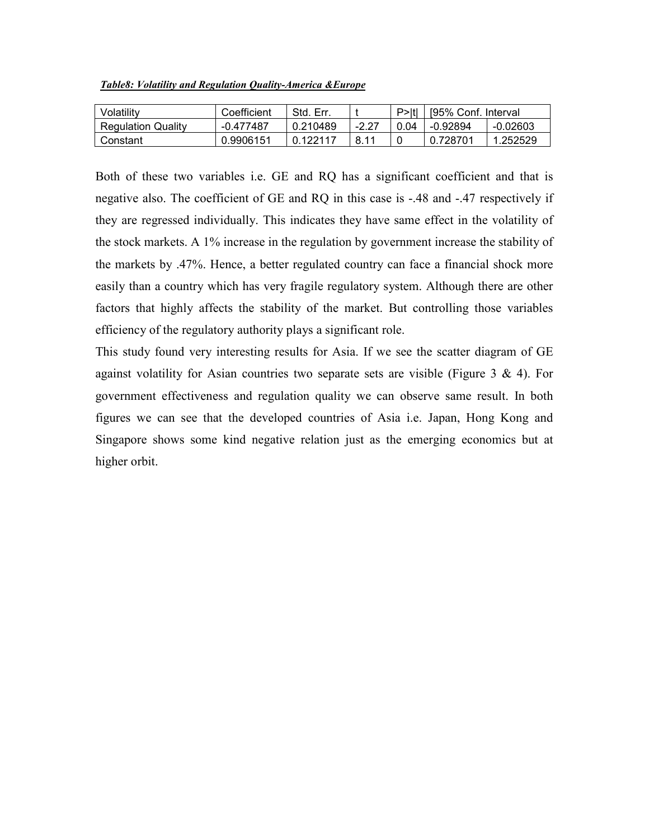| Volatilitv                | Coefficient | Std. Err. |       | P >  t | [95% Conf. Interval] |            |
|---------------------------|-------------|-----------|-------|--------|----------------------|------------|
| <b>Regulation Quality</b> | -0.477487   | 0.210489  | -2 27 | 0.04   | -0.92894             | $-0.02603$ |
| Constant                  | 0.9906151   | 0.122117  | 8.11  |        | 0.728701             | 1.252529   |

Both of these two variables i.e. GE and RQ has a significant coefficient and that is negative also. The coefficient of GE and RQ in this case is -.48 and -.47 respectively if they are regressed individually. This indicates they have same effect in the volatility of the stock markets. A 1% increase in the regulation by government increase the stability of the markets by .47%. Hence, a better regulated country can face a financial shock more easily than a country which has very fragile regulatory system. Although there are other factors that highly affects the stability of the market. But controlling those variables efficiency of the regulatory authority plays a significant role.

This study found very interesting results for Asia. If we see the scatter diagram of GE against volatility for Asian countries two separate sets are visible (Figure  $3 \& 4$ ). For government effectiveness and regulation quality we can observe same result. In both figures we can see that the developed countries of Asia i.e. Japan, Hong Kong and Singapore shows some kind negative relation just as the emerging economics but at higher orbit.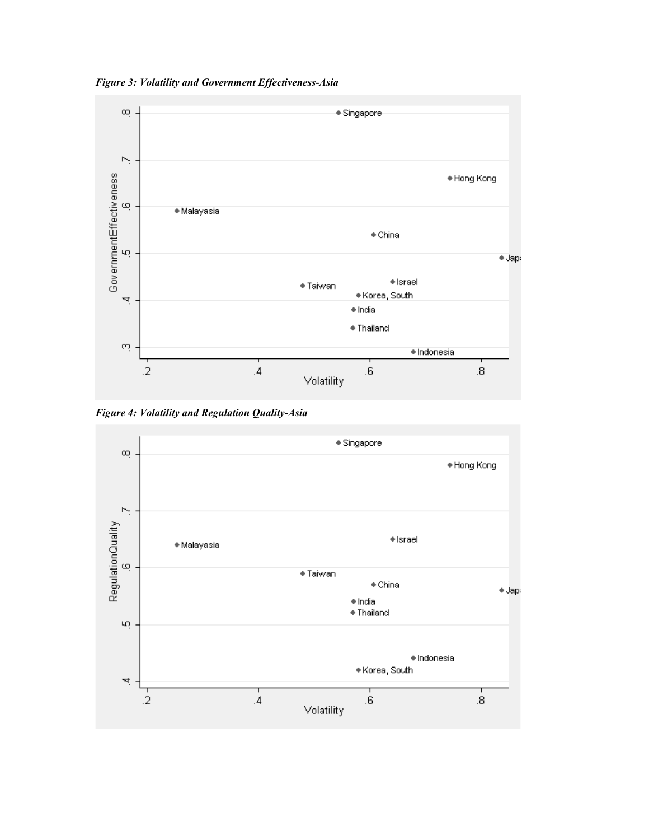Figure 3: Volatility and Government Effectiveness-Asia



Figure 4: Volatility and Regulation Quality-Asia

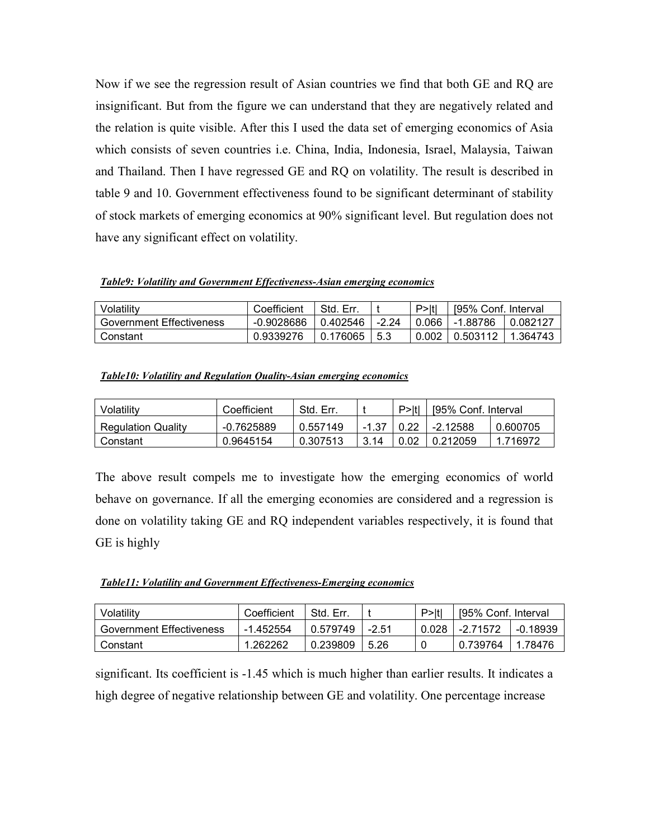Now if we see the regression result of Asian countries we find that both GE and RQ are insignificant. But from the figure we can understand that they are negatively related and the relation is quite visible. After this I used the data set of emerging economics of Asia which consists of seven countries i.e. China, India, Indonesia, Israel, Malaysia, Taiwan and Thailand. Then I have regressed GE and RQ on volatility. The result is described in table 9 and 10. Government effectiveness found to be significant determinant of stability of stock markets of emerging economics at 90% significant level. But regulation does not have any significant effect on volatility.

Table9: Volatility and Government Effectiveness-Asian emerging economics

| Volatilitv                      | Coefficient  | Std. Err. |       | $P>$ Itl | [95% Conf. Interval] |          |
|---------------------------------|--------------|-----------|-------|----------|----------------------|----------|
| <b>Government Effectiveness</b> | $-0.9028686$ | 0.402546  | -2 24 | 0.066    | -1.88786             | 0.082127 |
| Constant                        | 0.9339276    | 0.176065  | 5.3   | 0.002    | 0.503112             | 1.364743 |

| Table10: Volatility and Regulation Quality-Asian emerging economics |  |  |
|---------------------------------------------------------------------|--|--|
|                                                                     |  |  |

| Volatilitv                | Coefficient  | Std. Err. |       | P >  t | [95% Conf. Interval] |          |
|---------------------------|--------------|-----------|-------|--------|----------------------|----------|
| <b>Regulation Quality</b> | $-0.7625889$ | 0.557149  | -1.37 |        | -2.12588             | 0.600705 |
| Constant                  | 0.9645154    | 0.307513  | 3.14  | 0.02   | 0.212059             | 1.716972 |

The above result compels me to investigate how the emerging economics of world behave on governance. If all the emerging economies are considered and a regression is done on volatility taking GE and RQ independent variables respectively, it is found that GE is highly

Table11: Volatility and Government Effectiveness-Emerging economics

| Volatilitv               | Coefficient | Std. Err. |         | P >  t | [95% Conf. Interval |          |
|--------------------------|-------------|-----------|---------|--------|---------------------|----------|
| Government Effectiveness | -1.452554   | 0.579749  | $-2.51$ | 0.028  | -2.71572            | -0.18939 |
| Constant                 | 1.262262    | 0.239809  | 5.26    | 0      | 0.739764            | 1.78476  |

significant. Its coefficient is -1.45 which is much higher than earlier results. It indicates a high degree of negative relationship between GE and volatility. One percentage increase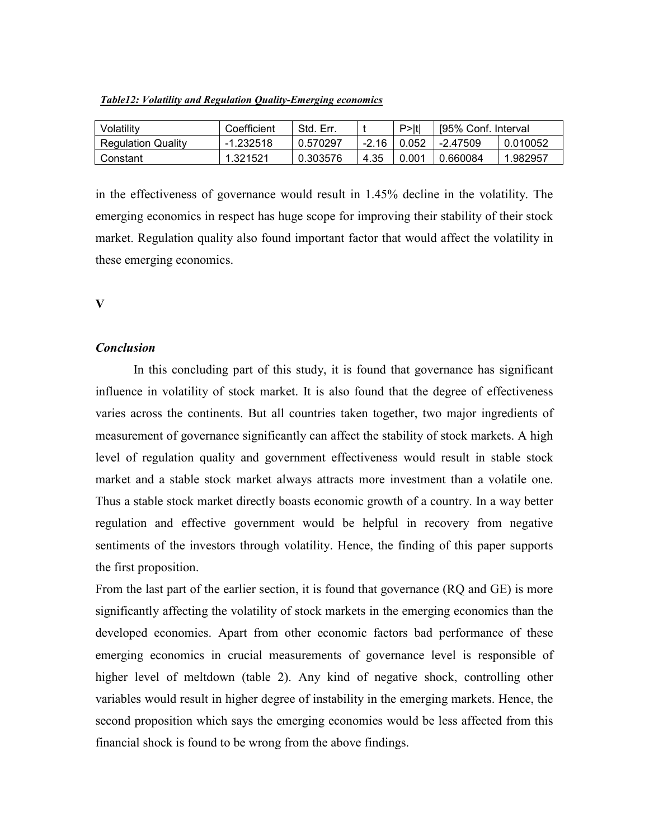| Table12: Volatility and Regulation Quality-Emerging economics |  |  |  |  |  |
|---------------------------------------------------------------|--|--|--|--|--|
|---------------------------------------------------------------|--|--|--|--|--|

| Volatilitv                | Coefficient | Std. Err. |       | P >  t | 195% Conf. Interval |          |
|---------------------------|-------------|-----------|-------|--------|---------------------|----------|
| <b>Regulation Quality</b> | $-1.232518$ | 0.570297  | -2.16 | 10.052 | -2.47509            | 0.010052 |
| Constant                  | 1.321521    | 0.303576  | 4.35  | 0.001  | 0.660084            | 1.982957 |

in the effectiveness of governance would result in 1.45% decline in the volatility. The emerging economics in respect has huge scope for improving their stability of their stock market. Regulation quality also found important factor that would affect the volatility in these emerging economics.

### V

# Conclusion

 In this concluding part of this study, it is found that governance has significant influence in volatility of stock market. It is also found that the degree of effectiveness varies across the continents. But all countries taken together, two major ingredients of measurement of governance significantly can affect the stability of stock markets. A high level of regulation quality and government effectiveness would result in stable stock market and a stable stock market always attracts more investment than a volatile one. Thus a stable stock market directly boasts economic growth of a country. In a way better regulation and effective government would be helpful in recovery from negative sentiments of the investors through volatility. Hence, the finding of this paper supports the first proposition.

From the last part of the earlier section, it is found that governance (RQ and GE) is more significantly affecting the volatility of stock markets in the emerging economics than the developed economies. Apart from other economic factors bad performance of these emerging economics in crucial measurements of governance level is responsible of higher level of meltdown (table 2). Any kind of negative shock, controlling other variables would result in higher degree of instability in the emerging markets. Hence, the second proposition which says the emerging economies would be less affected from this financial shock is found to be wrong from the above findings.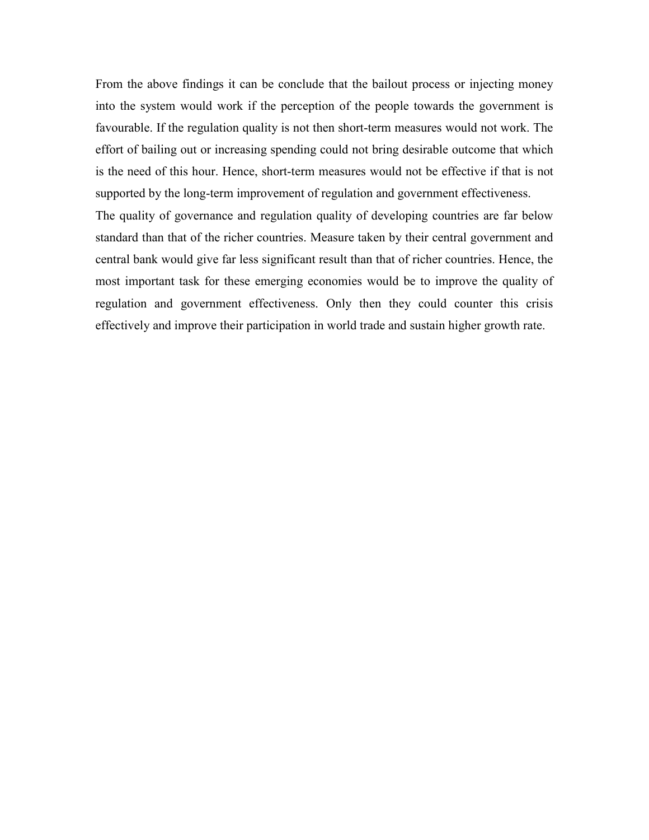From the above findings it can be conclude that the bailout process or injecting money into the system would work if the perception of the people towards the government is favourable. If the regulation quality is not then short-term measures would not work. The effort of bailing out or increasing spending could not bring desirable outcome that which is the need of this hour. Hence, short-term measures would not be effective if that is not supported by the long-term improvement of regulation and government effectiveness.

The quality of governance and regulation quality of developing countries are far below standard than that of the richer countries. Measure taken by their central government and central bank would give far less significant result than that of richer countries. Hence, the most important task for these emerging economies would be to improve the quality of regulation and government effectiveness. Only then they could counter this crisis effectively and improve their participation in world trade and sustain higher growth rate.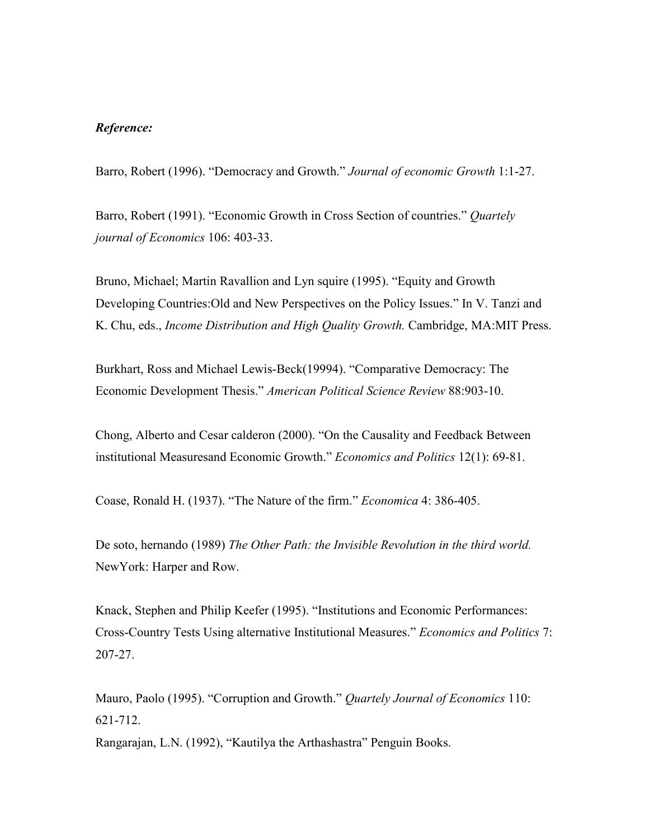### Reference:

Barro, Robert (1996). "Democracy and Growth." Journal of economic Growth 1:1-27.

Barro, Robert (1991). "Economic Growth in Cross Section of countries." Quartely journal of Economics 106: 403-33.

Bruno, Michael; Martin Ravallion and Lyn squire (1995). "Equity and Growth Developing Countries:Old and New Perspectives on the Policy Issues." In V. Tanzi and K. Chu, eds., *Income Distribution and High Quality Growth*. Cambridge, MA:MIT Press.

Burkhart, Ross and Michael Lewis-Beck(19994). "Comparative Democracy: The Economic Development Thesis." American Political Science Review 88:903-10.

Chong, Alberto and Cesar calderon (2000). "On the Causality and Feedback Between institutional Measuresand Economic Growth." Economics and Politics 12(1): 69-81.

Coase, Ronald H. (1937). "The Nature of the firm." Economica 4: 386-405.

De soto, hernando (1989) The Other Path: the Invisible Revolution in the third world. NewYork: Harper and Row.

Knack, Stephen and Philip Keefer (1995). "Institutions and Economic Performances: Cross-Country Tests Using alternative Institutional Measures." Economics and Politics 7: 207-27.

Mauro, Paolo (1995). "Corruption and Growth." Quartely Journal of Economics 110: 621-712.

Rangarajan, L.N. (1992), "Kautilya the Arthashastra" Penguin Books.